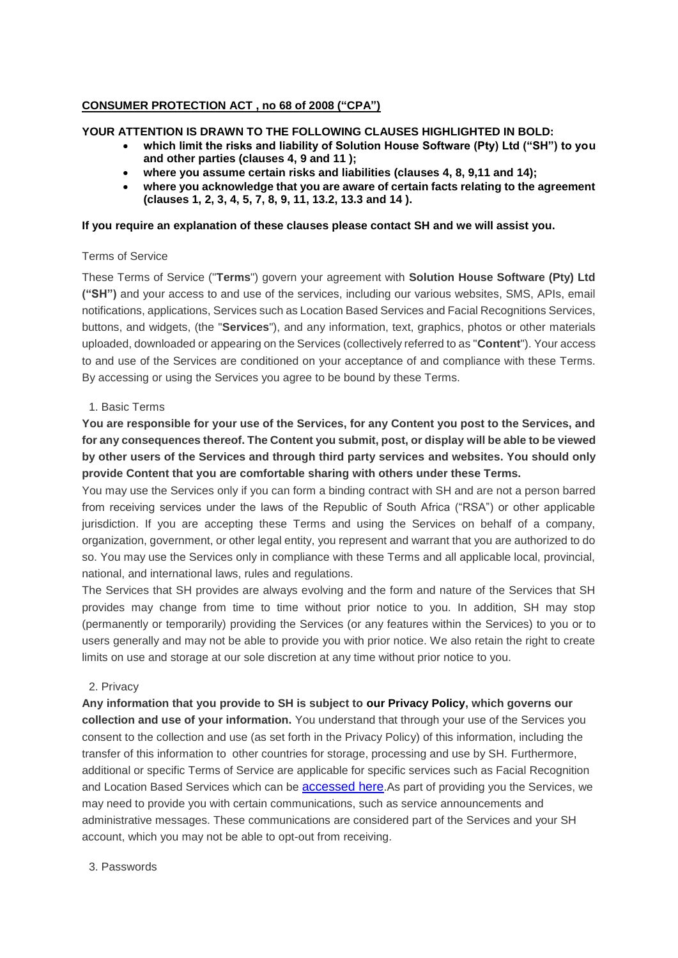# **CONSUMER PROTECTION ACT , no 68 of 2008 ("CPA")**

## **YOUR ATTENTION IS DRAWN TO THE FOLLOWING CLAUSES HIGHLIGHTED IN BOLD:**

- **which limit the risks and liability of Solution House Software (Pty) Ltd ("SH") to you and other parties (clauses 4, 9 and 11 );**
- **where you assume certain risks and liabilities (clauses 4, 8, 9,11 and 14);**
- **where you acknowledge that you are aware of certain facts relating to the agreement (clauses 1, 2, 3, 4, 5, 7, 8, 9, 11, 13.2, 13.3 and 14 ).**

### **If you require an explanation of these clauses please contact SH and we will assist you.**

## Terms of Service

These Terms of Service ("**Terms**") govern your agreement with **Solution House Software (Pty) Ltd ("SH")** and your access to and use of the services, including our various websites, SMS, APIs, email notifications, applications, Services such as Location Based Services and Facial Recognitions Services, buttons, and widgets, (the "**Services**"), and any information, text, graphics, photos or other materials uploaded, downloaded or appearing on the Services (collectively referred to as "**Content**"). Your access to and use of the Services are conditioned on your acceptance of and compliance with these Terms. By accessing or using the Services you agree to be bound by these Terms.

### 1. Basic Terms

**You are responsible for your use of the Services, for any Content you post to the Services, and for any consequences thereof. The Content you submit, post, or display will be able to be viewed by other users of the Services and through third party services and websites. You should only provide Content that you are comfortable sharing with others under these Terms.**

You may use the Services only if you can form a binding contract with SH and are not a person barred from receiving services under the laws of the Republic of South Africa ("RSA") or other applicable jurisdiction. If you are accepting these Terms and using the Services on behalf of a company, organization, government, or other legal entity, you represent and warrant that you are authorized to do so. You may use the Services only in compliance with these Terms and all applicable local, provincial, national, and international laws, rules and regulations.

The Services that SH provides are always evolving and the form and nature of the Services that SH provides may change from time to time without prior notice to you. In addition, SH may stop (permanently or temporarily) providing the Services (or any features within the Services) to you or to users generally and may not be able to provide you with prior notice. We also retain the right to create limits on use and storage at our sole discretion at any time without prior notice to you.

## 2. Privacy

**Any information that you provide to SH is subject to our Privacy Policy, which governs our collection and use of your information.** You understand that through your use of the Services you consent to the collection and use (as set forth in the Privacy Policy) of this information, including the transfer of this information to other countries for storage, processing and use by SH. Furthermore, additional or specific Terms of Service are applicable for specific services such as Facial Recognition and Location Based Services which can be [accessed here](https://www.myincidentdesk.com/legal).As part of providing you the Services, we may need to provide you with certain communications, such as service announcements and administrative messages. These communications are considered part of the Services and your SH account, which you may not be able to opt-out from receiving.

3. Passwords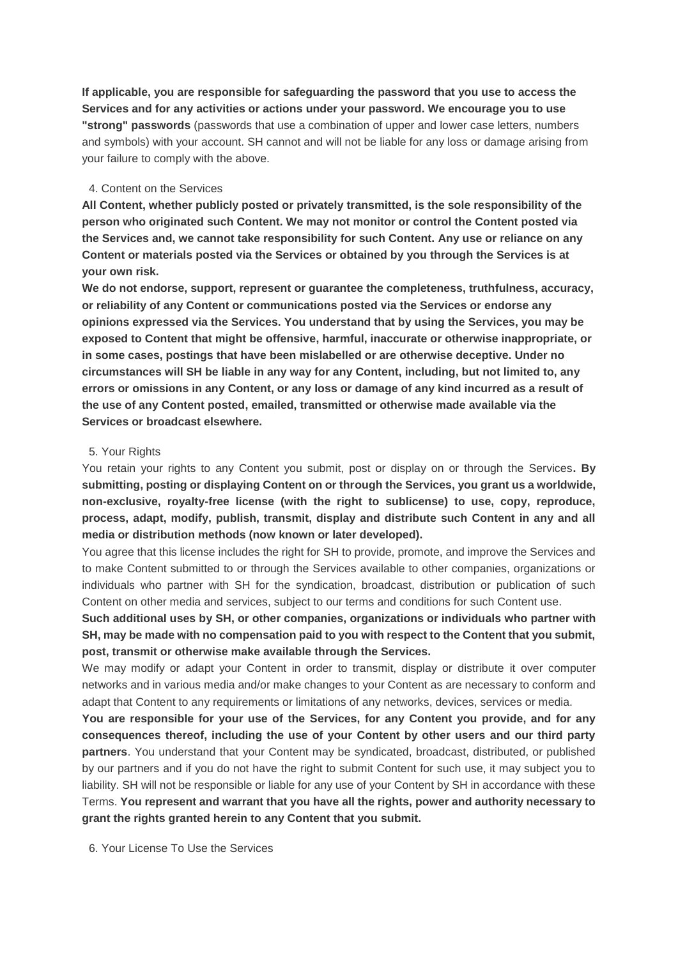**If applicable, you are responsible for safeguarding the password that you use to access the Services and for any activities or actions under your password. We encourage you to use "strong" passwords** (passwords that use a combination of upper and lower case letters, numbers and symbols) with your account. SH cannot and will not be liable for any loss or damage arising from your failure to comply with the above.

### 4. Content on the Services

**All Content, whether publicly posted or privately transmitted, is the sole responsibility of the person who originated such Content. We may not monitor or control the Content posted via the Services and, we cannot take responsibility for such Content. Any use or reliance on any Content or materials posted via the Services or obtained by you through the Services is at your own risk.**

**We do not endorse, support, represent or guarantee the completeness, truthfulness, accuracy, or reliability of any Content or communications posted via the Services or endorse any opinions expressed via the Services. You understand that by using the Services, you may be exposed to Content that might be offensive, harmful, inaccurate or otherwise inappropriate, or in some cases, postings that have been mislabelled or are otherwise deceptive. Under no circumstances will SH be liable in any way for any Content, including, but not limited to, any errors or omissions in any Content, or any loss or damage of any kind incurred as a result of the use of any Content posted, emailed, transmitted or otherwise made available via the Services or broadcast elsewhere.**

# 5. Your Rights

You retain your rights to any Content you submit, post or display on or through the Services**. By submitting, posting or displaying Content on or through the Services, you grant us a worldwide, non-exclusive, royalty-free license (with the right to sublicense) to use, copy, reproduce, process, adapt, modify, publish, transmit, display and distribute such Content in any and all media or distribution methods (now known or later developed).**

You agree that this license includes the right for SH to provide, promote, and improve the Services and to make Content submitted to or through the Services available to other companies, organizations or individuals who partner with SH for the syndication, broadcast, distribution or publication of such Content on other media and services, subject to our terms and conditions for such Content use.

**Such additional uses by SH, or other companies, organizations or individuals who partner with SH, may be made with no compensation paid to you with respect to the Content that you submit, post, transmit or otherwise make available through the Services.**

We may modify or adapt your Content in order to transmit, display or distribute it over computer networks and in various media and/or make changes to your Content as are necessary to conform and adapt that Content to any requirements or limitations of any networks, devices, services or media.

**You are responsible for your use of the Services, for any Content you provide, and for any consequences thereof, including the use of your Content by other users and our third party partners**. You understand that your Content may be syndicated, broadcast, distributed, or published by our partners and if you do not have the right to submit Content for such use, it may subject you to liability. SH will not be responsible or liable for any use of your Content by SH in accordance with these Terms. **You represent and warrant that you have all the rights, power and authority necessary to grant the rights granted herein to any Content that you submit.**

6. Your License To Use the Services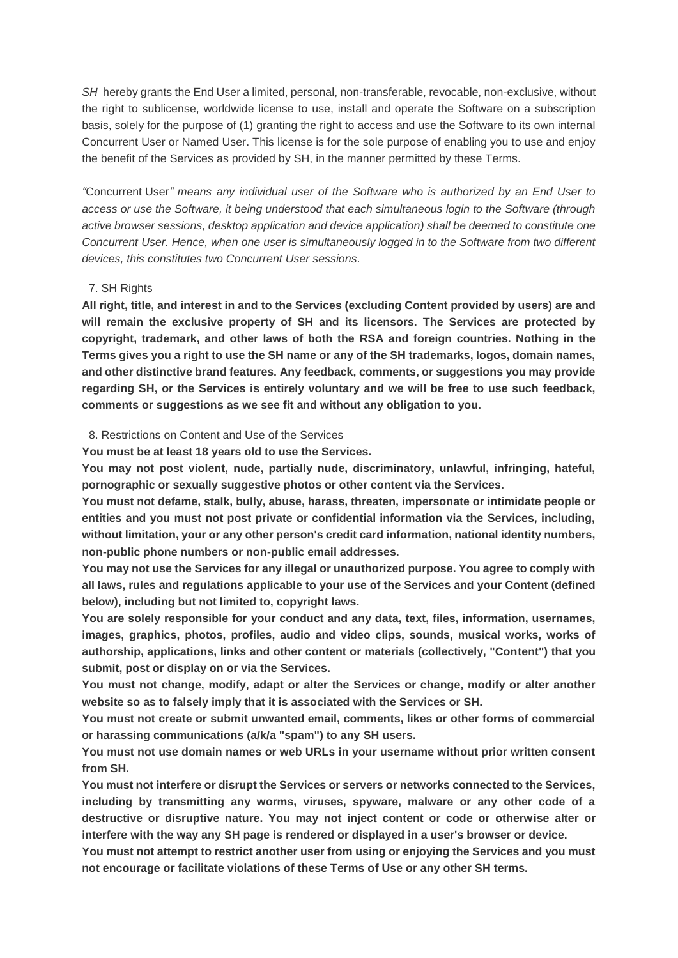*SH* hereby grants the End User a limited, personal, non-transferable, revocable, non-exclusive, without the right to sublicense, worldwide license to use, install and operate the Software on a subscription basis, solely for the purpose of (1) granting the right to access and use the Software to its own internal Concurrent User or Named User. This license is for the sole purpose of enabling you to use and enjoy the benefit of the Services as provided by SH, in the manner permitted by these Terms.

*"*Concurrent User*" means any individual user of the Software who is authorized by an End User to access or use the Software, it being understood that each simultaneous login to the Software (through active browser sessions, desktop application and device application) shall be deemed to constitute one Concurrent User. Hence, when one user is simultaneously logged in to the Software from two different devices, this constitutes two Concurrent User sessions.*

### 7. SH Rights

**All right, title, and interest in and to the Services (excluding Content provided by users) are and will remain the exclusive property of SH and its licensors. The Services are protected by copyright, trademark, and other laws of both the RSA and foreign countries. Nothing in the Terms gives you a right to use the SH name or any of the SH trademarks, logos, domain names, and other distinctive brand features. Any feedback, comments, or suggestions you may provide regarding SH, or the Services is entirely voluntary and we will be free to use such feedback, comments or suggestions as we see fit and without any obligation to you.**

8. Restrictions on Content and Use of the Services

**You must be at least 18 years old to use the Services.** 

**You may not post violent, nude, partially nude, discriminatory, unlawful, infringing, hateful, pornographic or sexually suggestive photos or other content via the Services.**

**You must not defame, stalk, bully, abuse, harass, threaten, impersonate or intimidate people or entities and you must not post private or confidential information via the Services, including, without limitation, your or any other person's credit card information, national identity numbers, non-public phone numbers or non-public email addresses.** 

**You may not use the Services for any illegal or unauthorized purpose. You agree to comply with all laws, rules and regulations applicable to your use of the Services and your Content (defined below), including but not limited to, copyright laws.** 

**You are solely responsible for your conduct and any data, text, files, information, usernames, images, graphics, photos, profiles, audio and video clips, sounds, musical works, works of authorship, applications, links and other content or materials (collectively, "Content") that you submit, post or display on or via the Services.** 

**You must not change, modify, adapt or alter the Services or change, modify or alter another website so as to falsely imply that it is associated with the Services or SH.**

**You must not create or submit unwanted email, comments, likes or other forms of commercial or harassing communications (a/k/a "spam") to any SH users.** 

**You must not use domain names or web URLs in your username without prior written consent from SH.** 

**You must not interfere or disrupt the Services or servers or networks connected to the Services, including by transmitting any worms, viruses, spyware, malware or any other code of a destructive or disruptive nature. You may not inject content or code or otherwise alter or interfere with the way any SH page is rendered or displayed in a user's browser or device.** 

**You must not attempt to restrict another user from using or enjoying the Services and you must not encourage or facilitate violations of these Terms of Use or any other SH terms.**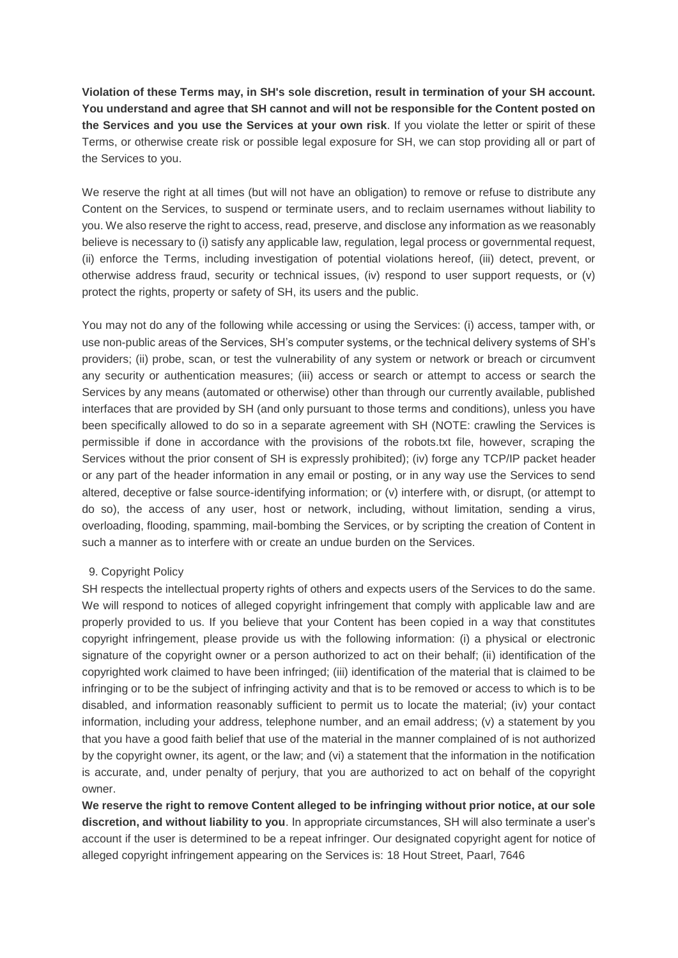**Violation of these Terms may, in SH's sole discretion, result in termination of your SH account. You understand and agree that SH cannot and will not be responsible for the Content posted on the Services and you use the Services at your own risk**. If you violate the letter or spirit of these Terms, or otherwise create risk or possible legal exposure for SH, we can stop providing all or part of the Services to you.

We reserve the right at all times (but will not have an obligation) to remove or refuse to distribute any Content on the Services, to suspend or terminate users, and to reclaim usernames without liability to you. We also reserve the right to access, read, preserve, and disclose any information as we reasonably believe is necessary to (i) satisfy any applicable law, regulation, legal process or governmental request, (ii) enforce the Terms, including investigation of potential violations hereof, (iii) detect, prevent, or otherwise address fraud, security or technical issues, (iv) respond to user support requests, or (v) protect the rights, property or safety of SH, its users and the public.

You may not do any of the following while accessing or using the Services: (i) access, tamper with, or use non-public areas of the Services, SH's computer systems, or the technical delivery systems of SH's providers; (ii) probe, scan, or test the vulnerability of any system or network or breach or circumvent any security or authentication measures; (iii) access or search or attempt to access or search the Services by any means (automated or otherwise) other than through our currently available, published interfaces that are provided by SH (and only pursuant to those terms and conditions), unless you have been specifically allowed to do so in a separate agreement with SH (NOTE: crawling the Services is permissible if done in accordance with the provisions of the robots.txt file, however, scraping the Services without the prior consent of SH is expressly prohibited); (iv) forge any TCP/IP packet header or any part of the header information in any email or posting, or in any way use the Services to send altered, deceptive or false source-identifying information; or (v) interfere with, or disrupt, (or attempt to do so), the access of any user, host or network, including, without limitation, sending a virus, overloading, flooding, spamming, mail-bombing the Services, or by scripting the creation of Content in such a manner as to interfere with or create an undue burden on the Services.

## 9. Copyright Policy

SH respects the intellectual property rights of others and expects users of the Services to do the same. We will respond to notices of alleged copyright infringement that comply with applicable law and are properly provided to us. If you believe that your Content has been copied in a way that constitutes copyright infringement, please provide us with the following information: (i) a physical or electronic signature of the copyright owner or a person authorized to act on their behalf; (ii) identification of the copyrighted work claimed to have been infringed; (iii) identification of the material that is claimed to be infringing or to be the subject of infringing activity and that is to be removed or access to which is to be disabled, and information reasonably sufficient to permit us to locate the material; (iv) your contact information, including your address, telephone number, and an email address; (v) a statement by you that you have a good faith belief that use of the material in the manner complained of is not authorized by the copyright owner, its agent, or the law; and (vi) a statement that the information in the notification is accurate, and, under penalty of perjury, that you are authorized to act on behalf of the copyright owner.

**We reserve the right to remove Content alleged to be infringing without prior notice, at our sole discretion, and without liability to you**. In appropriate circumstances, SH will also terminate a user's account if the user is determined to be a repeat infringer. Our designated copyright agent for notice of alleged copyright infringement appearing on the Services is: 18 Hout Street, Paarl, 7646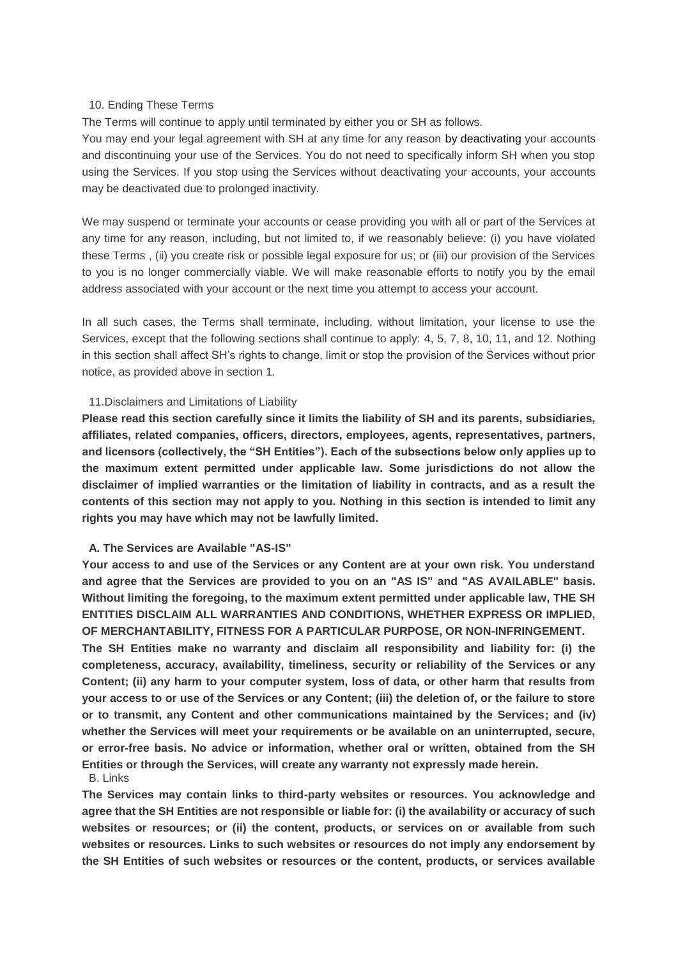### 10. Ending These Terms

The Terms will continue to apply until terminated by either you or SH as follows.

You may end your legal agreement with SH at any time for any reason by deactivating your accounts and discontinuing your use of the Services. You do not need to specifically inform SH when you stop using the Services. If you stop using the Services without deactivating your accounts, your accounts may be deactivated due to prolonged inactivity.

We may suspend or terminate your accounts or cease providing you with all or part of the Services at any time for any reason, including, but not limited to, if we reasonably believe: (i) you have violated these Terms , (ii) you create risk or possible legal exposure for us; or (iii) our provision of the Services to you is no longer commercially viable. We will make reasonable efforts to notify you by the email address associated with your account or the next time you attempt to access your account.

In all such cases, the Terms shall terminate, including, without limitation, your license to use the Services, except that the following sections shall continue to apply: 4, 5, 7, 8, 10, 11, and 12. Nothing in this section shall affect SH's rights to change, limit or stop the provision of the Services without prior notice, as provided above in section 1.

#### 11.Disclaimers and Limitations of Liability

**Please read this section carefully since it limits the liability of SH and its parents, subsidiaries, affiliates, related companies, officers, directors, employees, agents, representatives, partners, and licensors (collectively, the "SH Entities"). Each of the subsections below only applies up to the maximum extent permitted under applicable law. Some jurisdictions do not allow the disclaimer of implied warranties or the limitation of liability in contracts, and as a result the contents of this section may not apply to you. Nothing in this section is intended to limit any rights you may have which may not be lawfully limited.**

#### **A. The Services are Available "AS-IS"**

**Your access to and use of the Services or any Content are at your own risk. You understand and agree that the Services are provided to you on an "AS IS" and "AS AVAILABLE" basis. Without limiting the foregoing, to the maximum extent permitted under applicable law, THE SH ENTITIES DISCLAIM ALL WARRANTIES AND CONDITIONS, WHETHER EXPRESS OR IMPLIED, OF MERCHANTABILITY, FITNESS FOR A PARTICULAR PURPOSE, OR NON-INFRINGEMENT.**

**The SH Entities make no warranty and disclaim all responsibility and liability for: (i) the completeness, accuracy, availability, timeliness, security or reliability of the Services or any Content; (ii) any harm to your computer system, loss of data, or other harm that results from your access to or use of the Services or any Content; (iii) the deletion of, or the failure to store or to transmit, any Content and other communications maintained by the Services; and (iv) whether the Services will meet your requirements or be available on an uninterrupted, secure, or error-free basis. No advice or information, whether oral or written, obtained from the SH Entities or through the Services, will create any warranty not expressly made herein.** B. Links

**The Services may contain links to third-party websites or resources. You acknowledge and agree that the SH Entities are not responsible or liable for: (i) the availability or accuracy of such websites or resources; or (ii) the content, products, or services on or available from such websites or resources. Links to such websites or resources do not imply any endorsement by the SH Entities of such websites or resources or the content, products, or services available**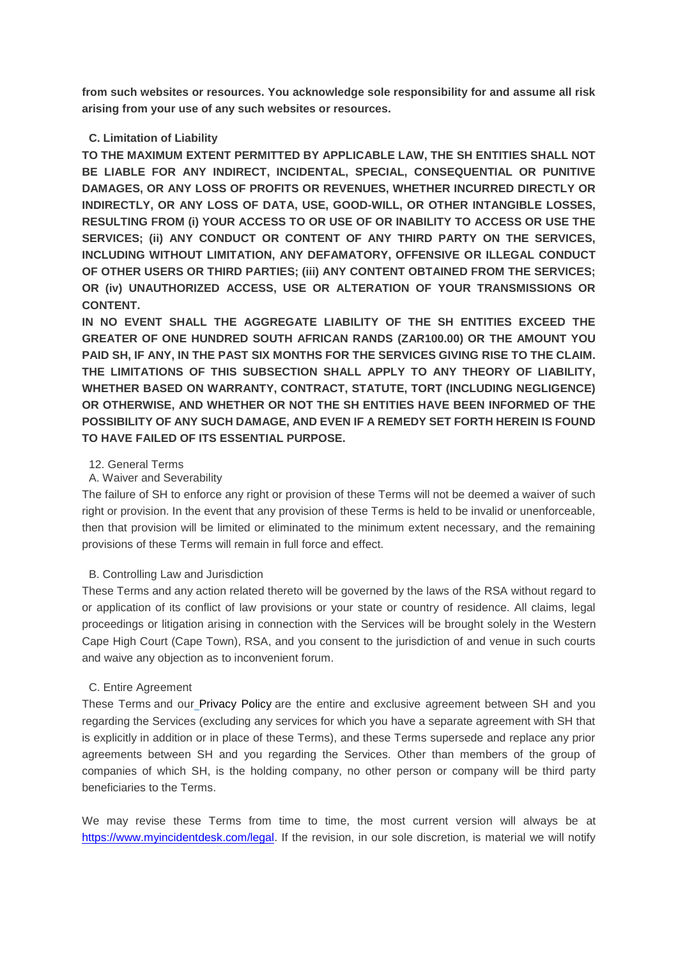**from such websites or resources. You acknowledge sole responsibility for and assume all risk arising from your use of any such websites or resources.**

# **C. Limitation of Liability**

**TO THE MAXIMUM EXTENT PERMITTED BY APPLICABLE LAW, THE SH ENTITIES SHALL NOT BE LIABLE FOR ANY INDIRECT, INCIDENTAL, SPECIAL, CONSEQUENTIAL OR PUNITIVE DAMAGES, OR ANY LOSS OF PROFITS OR REVENUES, WHETHER INCURRED DIRECTLY OR INDIRECTLY, OR ANY LOSS OF DATA, USE, GOOD-WILL, OR OTHER INTANGIBLE LOSSES, RESULTING FROM (i) YOUR ACCESS TO OR USE OF OR INABILITY TO ACCESS OR USE THE SERVICES; (ii) ANY CONDUCT OR CONTENT OF ANY THIRD PARTY ON THE SERVICES, INCLUDING WITHOUT LIMITATION, ANY DEFAMATORY, OFFENSIVE OR ILLEGAL CONDUCT OF OTHER USERS OR THIRD PARTIES; (iii) ANY CONTENT OBTAINED FROM THE SERVICES; OR (iv) UNAUTHORIZED ACCESS, USE OR ALTERATION OF YOUR TRANSMISSIONS OR CONTENT.**

**IN NO EVENT SHALL THE AGGREGATE LIABILITY OF THE SH ENTITIES EXCEED THE GREATER OF ONE HUNDRED SOUTH AFRICAN RANDS (ZAR100.00) OR THE AMOUNT YOU PAID SH, IF ANY, IN THE PAST SIX MONTHS FOR THE SERVICES GIVING RISE TO THE CLAIM. THE LIMITATIONS OF THIS SUBSECTION SHALL APPLY TO ANY THEORY OF LIABILITY, WHETHER BASED ON WARRANTY, CONTRACT, STATUTE, TORT (INCLUDING NEGLIGENCE) OR OTHERWISE, AND WHETHER OR NOT THE SH ENTITIES HAVE BEEN INFORMED OF THE POSSIBILITY OF ANY SUCH DAMAGE, AND EVEN IF A REMEDY SET FORTH HEREIN IS FOUND TO HAVE FAILED OF ITS ESSENTIAL PURPOSE.**

## 12. General Terms

# A. Waiver and Severability

The failure of SH to enforce any right or provision of these Terms will not be deemed a waiver of such right or provision. In the event that any provision of these Terms is held to be invalid or unenforceable, then that provision will be limited or eliminated to the minimum extent necessary, and the remaining provisions of these Terms will remain in full force and effect.

## B. Controlling Law and Jurisdiction

These Terms and any action related thereto will be governed by the laws of the RSA without regard to or application of its conflict of law provisions or your state or country of residence. All claims, legal proceedings or litigation arising in connection with the Services will be brought solely in the Western Cape High Court (Cape Town), RSA, and you consent to the jurisdiction of and venue in such courts and waive any objection as to inconvenient forum.

## C. Entire Agreement

These Terms and our Privacy Policy are the entire and exclusive agreement between SH and you regarding the Services (excluding any services for which you have a separate agreement with SH that is explicitly in addition or in place of these Terms), and these Terms supersede and replace any prior agreements between SH and you regarding the Services. Other than members of the group of companies of which SH, is the holding company, no other person or company will be third party beneficiaries to the Terms.

We may revise these Terms from time to time, the most current version will always be at [https://www.myincidentdesk.com/legal.](https://www.myincidentdesk.com/legal) If the revision, in our sole discretion, is material we will notify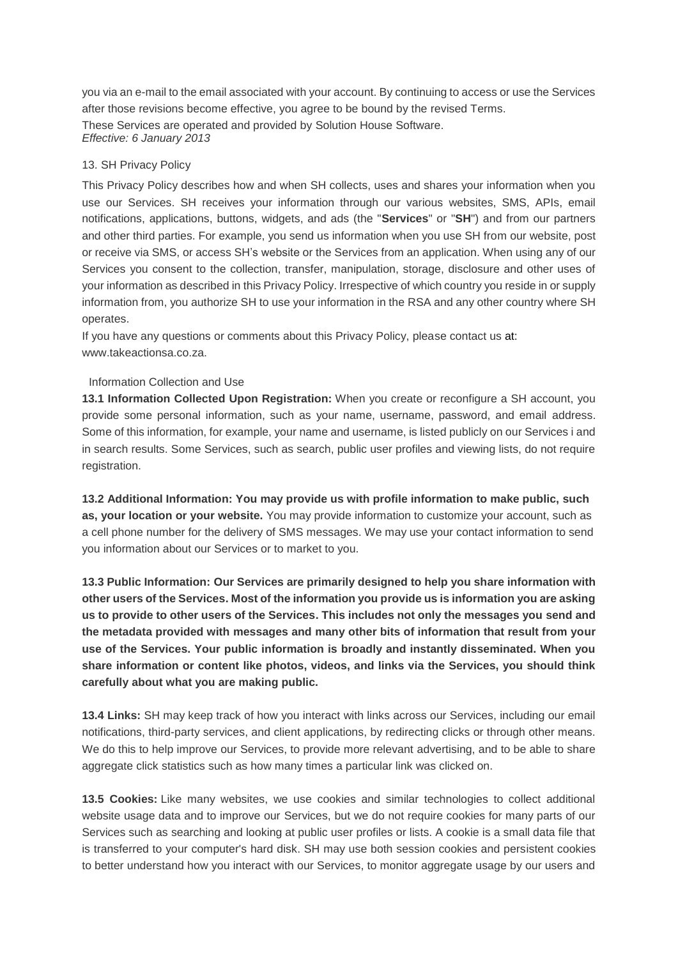you via an e-mail to the email associated with your account. By continuing to access or use the Services after those revisions become effective, you agree to be bound by the revised Terms. These Services are operated and provided by Solution House Software. *Effective: 6 January 2013*

## 13. SH Privacy Policy

This Privacy Policy describes how and when SH collects, uses and shares your information when you use our Services. SH receives your information through our various websites, SMS, APIs, email notifications, applications, buttons, widgets, and ads (the "**Services**" or "**SH**") and from our partners and other third parties. For example, you send us information when you use SH from our website, post or receive via SMS, or access SH's website or the Services from an application. When using any of our Services you consent to the collection, transfer, manipulation, storage, disclosure and other uses of your information as described in this Privacy Policy. Irrespective of which country you reside in or supply information from, you authorize SH to use your information in the RSA and any other country where SH operates.

If you have any questions or comments about this Privacy Policy, please contact us at: www.takeactionsa.co.za.

# Information Collection and Use

**13.1 Information Collected Upon Registration:** When you create or reconfigure a SH account, you provide some personal information, such as your name, username, password, and email address. Some of this information, for example, your name and username, is listed publicly on our Services i and in search results. Some Services, such as search, public user profiles and viewing lists, do not require registration.

**13.2 Additional Information: You may provide us with profile information to make public, such as, your location or your website.** You may provide information to customize your account, such as a cell phone number for the delivery of SMS messages. We may use your contact information to send you information about our Services or to market to you.

**13.3 Public Information: Our Services are primarily designed to help you share information with other users of the Services. Most of the information you provide us is information you are asking us to provide to other users of the Services. This includes not only the messages you send and the metadata provided with messages and many other bits of information that result from your use of the Services. Your public information is broadly and instantly disseminated. When you share information or content like photos, videos, and links via the Services, you should think carefully about what you are making public.**

**13.4 Links:** SH may keep track of how you interact with links across our Services, including our email notifications, third-party services, and client applications, by redirecting clicks or through other means. We do this to help improve our Services, to provide more relevant advertising, and to be able to share aggregate click statistics such as how many times a particular link was clicked on.

**13.5 Cookies:** Like many websites, we use cookies and similar technologies to collect additional website usage data and to improve our Services, but we do not require cookies for many parts of our Services such as searching and looking at public user profiles or lists. A cookie is a small data file that is transferred to your computer's hard disk. SH may use both session cookies and persistent cookies to better understand how you interact with our Services, to monitor aggregate usage by our users and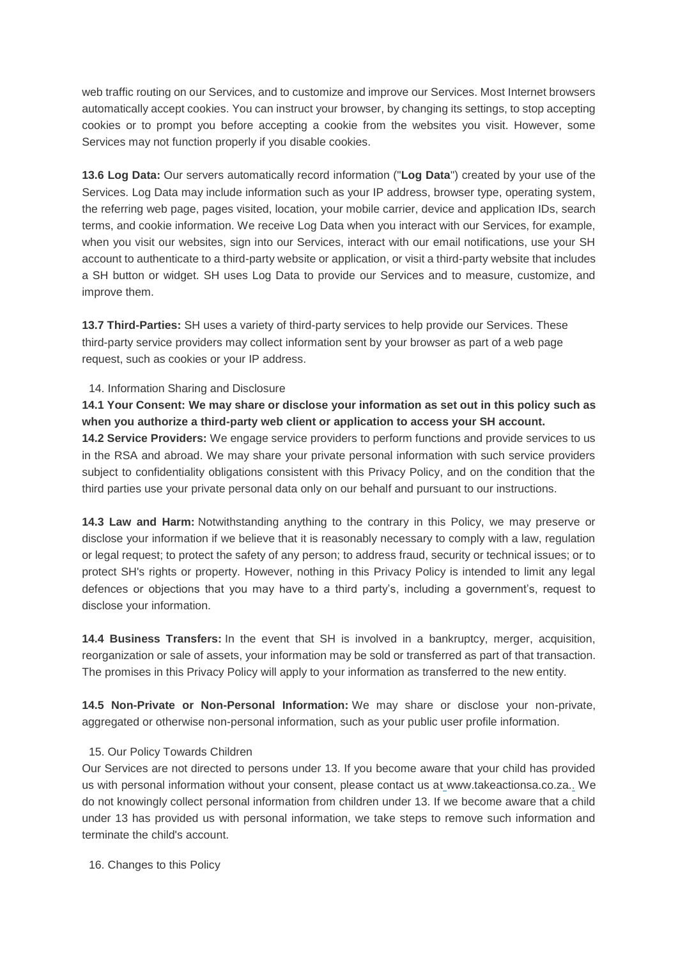web traffic routing on our Services, and to customize and improve our Services. Most Internet browsers automatically accept cookies. You can instruct your browser, by changing its settings, to stop accepting cookies or to prompt you before accepting a cookie from the websites you visit. However, some Services may not function properly if you disable cookies.

**13.6 Log Data:** Our servers automatically record information ("**Log Data**") created by your use of the Services. Log Data may include information such as your IP address, browser type, operating system, the referring web page, pages visited, location, your mobile carrier, device and application IDs, search terms, and cookie information. We receive Log Data when you interact with our Services, for example, when you visit our websites, sign into our Services, interact with our email notifications, use your SH account to authenticate to a third-party website or application, or visit a third-party website that includes a SH button or widget. SH uses Log Data to provide our Services and to measure, customize, and improve them.

**13.7 Third-Parties:** SH uses a variety of third-party services to help provide our Services. These third-party service providers may collect information sent by your browser as part of a web page request, such as cookies or your IP address.

## 14. Information Sharing and Disclosure

**14.1 Your Consent: We may share or disclose your information as set out in this policy such as when you authorize a third-party web client or application to access your SH account.**

**14.2 Service Providers:** We engage service providers to perform functions and provide services to us in the RSA and abroad. We may share your private personal information with such service providers subject to confidentiality obligations consistent with this Privacy Policy, and on the condition that the third parties use your private personal data only on our behalf and pursuant to our instructions.

**14.3 Law and Harm:** Notwithstanding anything to the contrary in this Policy, we may preserve or disclose your information if we believe that it is reasonably necessary to comply with a law, regulation or legal request; to protect the safety of any person; to address fraud, security or technical issues; or to protect SH's rights or property. However, nothing in this Privacy Policy is intended to limit any legal defences or objections that you may have to a third party's, including a government's, request to disclose your information.

**14.4 Business Transfers:** In the event that SH is involved in a bankruptcy, merger, acquisition, reorganization or sale of assets, your information may be sold or transferred as part of that transaction. The promises in this Privacy Policy will apply to your information as transferred to the new entity.

**14.5 Non-Private or Non-Personal Information:** We may share or disclose your non-private, aggregated or otherwise non-personal information, such as your public user profile information.

## 15. Our Policy Towards Children

Our Services are not directed to persons under 13. If you become aware that your child has provided us with personal information without your consent, please contact us at www.takeactionsa.co.za.. We do not knowingly collect personal information from children under 13. If we become aware that a child under 13 has provided us with personal information, we take steps to remove such information and terminate the child's account.

16. Changes to this Policy